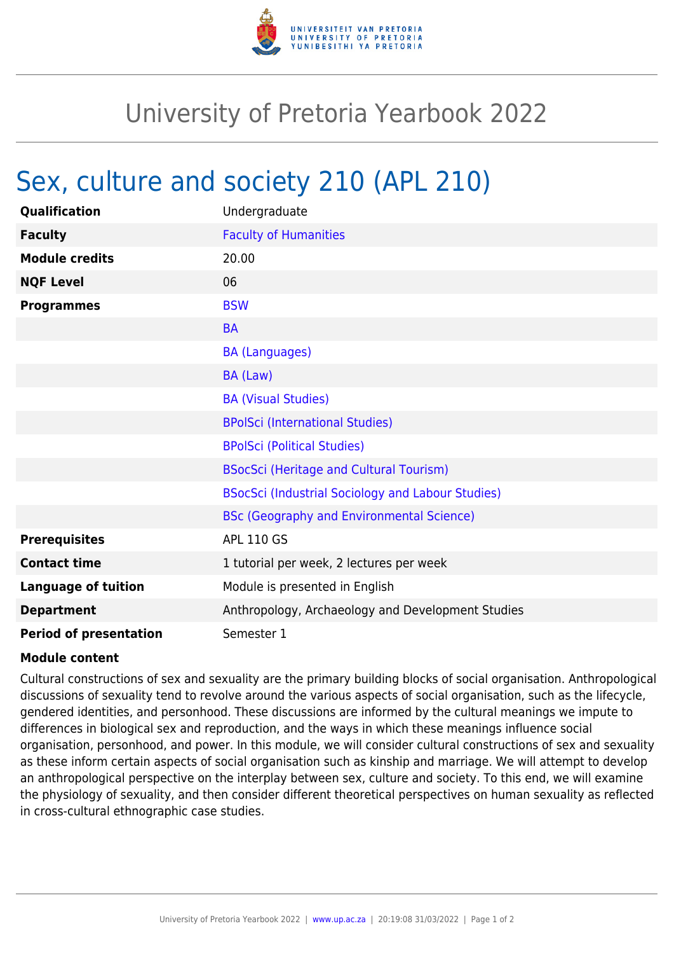

## University of Pretoria Yearbook 2022

## Sex, culture and society 210 (APL 210)

| Qualification                 | Undergraduate                                     |
|-------------------------------|---------------------------------------------------|
| <b>Faculty</b>                | <b>Faculty of Humanities</b>                      |
| <b>Module credits</b>         | 20.00                                             |
| <b>NQF Level</b>              | 06                                                |
| <b>Programmes</b>             | <b>BSW</b>                                        |
|                               | <b>BA</b>                                         |
|                               | <b>BA (Languages)</b>                             |
|                               | BA (Law)                                          |
|                               | <b>BA (Visual Studies)</b>                        |
|                               | <b>BPolSci (International Studies)</b>            |
|                               | <b>BPolSci (Political Studies)</b>                |
|                               | <b>BSocSci (Heritage and Cultural Tourism)</b>    |
|                               | BSocSci (Industrial Sociology and Labour Studies) |
|                               | <b>BSc (Geography and Environmental Science)</b>  |
| <b>Prerequisites</b>          | <b>APL 110 GS</b>                                 |
| <b>Contact time</b>           | 1 tutorial per week, 2 lectures per week          |
| <b>Language of tuition</b>    | Module is presented in English                    |
| <b>Department</b>             | Anthropology, Archaeology and Development Studies |
| <b>Period of presentation</b> | Semester 1                                        |

## **Module content**

Cultural constructions of sex and sexuality are the primary building blocks of social organisation. Anthropological discussions of sexuality tend to revolve around the various aspects of social organisation, such as the lifecycle, gendered identities, and personhood. These discussions are informed by the cultural meanings we impute to differences in biological sex and reproduction, and the ways in which these meanings influence social organisation, personhood, and power. In this module, we will consider cultural constructions of sex and sexuality as these inform certain aspects of social organisation such as kinship and marriage. We will attempt to develop an anthropological perspective on the interplay between sex, culture and society. To this end, we will examine the physiology of sexuality, and then consider different theoretical perspectives on human sexuality as reflected in cross-cultural ethnographic case studies.